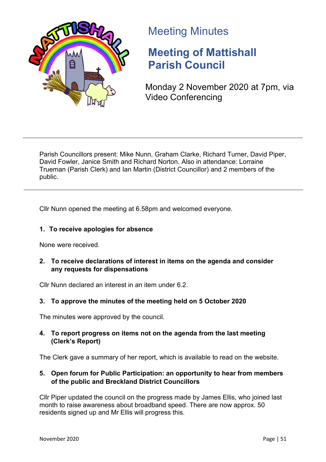

# Meeting Minutes

# **Meeting of Mattishall Parish Council**

Monday 2 November 2020 at 7pm, via Video Conferencing

Parish Councillors present: Mike Nunn, Graham Clarke, Richard Turner, David Piper, David Fowler, Janice Smith and Richard Norton. Also in attendance: Lorraine Trueman (Parish Clerk) and Ian Martin (District Councillor) and 2 members of the public.

Cllr Nunn opened the meeting at 6.58pm and welcomed everyone.

# **1. To receive apologies for absence**

None were received.

# **2. To receive declarations of interest in items on the agenda and consider any requests for dispensations**

Cllr Nunn declared an interest in an item under 6.2.

# **3. To approve the minutes of the meeting held on 5 October 2020**

The minutes were approved by the council.

# **4. To report progress on items not on the agenda from the last meeting (Clerk's Report)**

The Clerk gave a summary of her report, which is available to read on the website.

# **5. Open forum for Public Participation: an opportunity to hear from members of the public and Breckland District Councillors**

Cllr Piper updated the council on the progress made by James Ellis, who joined last month to raise awareness about broadband speed. There are now approx. 50 residents signed up and Mr Ellis will progress this.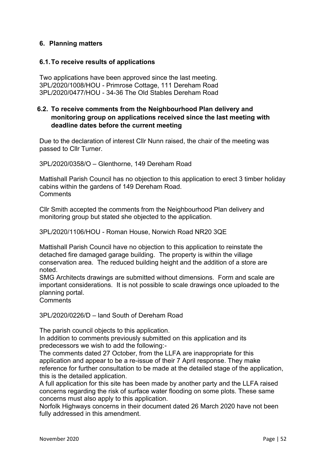# **6. Planning matters**

#### **6.1.To receive results of applications**

Two applications have been approved since the last meeting. 3PL/2020/1008/HOU - Primrose Cottage, 111 Dereham Road 3PL/2020/0477/HOU - 34-36 The Old Stables Dereham Road

#### **6.2. To receive comments from the Neighbourhood Plan delivery and monitoring group on applications received since the last meeting with deadline dates before the current meeting**

Due to the declaration of interest Cllr Nunn raised, the chair of the meeting was passed to Cllr Turner.

3PL/2020/0358/O – Glenthorne, 149 Dereham Road

Mattishall Parish Council has no objection to this application to erect 3 timber holiday cabins within the gardens of 149 Dereham Road. **Comments** 

Cllr Smith accepted the comments from the Neighbourhood Plan delivery and monitoring group but stated she objected to the application.

3PL/2020/1106/HOU - Roman House, Norwich Road NR20 3QE

Mattishall Parish Council have no objection to this application to reinstate the detached fire damaged garage building. The property is within the village conservation area. The reduced building height and the addition of a store are noted.

SMG Architects drawings are submitted without dimensions. Form and scale are important considerations. It is not possible to scale drawings once uploaded to the planning portal.

Comments

3PL/2020/0226/D – land South of Dereham Road

The parish council objects to this application.

In addition to comments previously submitted on this application and its predecessors we wish to add the following:-

The comments dated 27 October, from the LLFA are inappropriate for this application and appear to be a re-issue of their 7 April response. They make reference for further consultation to be made at the detailed stage of the application, this is the detailed application.

A full application for this site has been made by another party and the LLFA raised concerns regarding the risk of surface water flooding on some plots. These same concerns must also apply to this application.

Norfolk Highways concerns in their document dated 26 March 2020 have not been fully addressed in this amendment.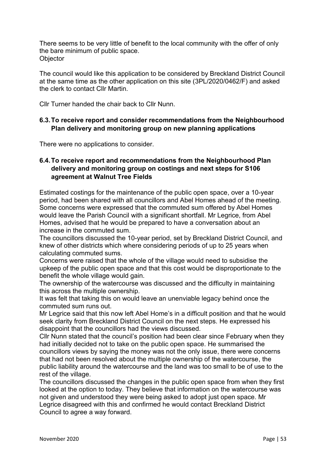There seems to be very little of benefit to the local community with the offer of only the bare minimum of public space. **Objector** 

The council would like this application to be considered by Breckland District Council at the same time as the other application on this site (3PL/2020/0462/F) and asked the clerk to contact Cllr Martin.

Cllr Turner handed the chair back to Cllr Nunn.

# **6.3.To receive report and consider recommendations from the Neighbourhood Plan delivery and monitoring group on new planning applications**

There were no applications to consider.

# **6.4.To receive report and recommendations from the Neighbourhood Plan delivery and monitoring group on costings and next steps for S106 agreement at Walnut Tree Fields**

Estimated costings for the maintenance of the public open space, over a 10-year period, had been shared with all councillors and Abel Homes ahead of the meeting. Some concerns were expressed that the commuted sum offered by Abel Homes would leave the Parish Council with a significant shortfall. Mr Legrice, from Abel Homes, advised that he would be prepared to have a conversation about an increase in the commuted sum.

The councillors discussed the 10-year period, set by Breckland District Council, and knew of other districts which where considering periods of up to 25 years when calculating commuted sums.

Concerns were raised that the whole of the village would need to subsidise the upkeep of the public open space and that this cost would be disproportionate to the benefit the whole village would gain.

The ownership of the watercourse was discussed and the difficulty in maintaining this across the multiple ownership.

It was felt that taking this on would leave an unenviable legacy behind once the commuted sum runs out.

Mr Legrice said that this now left Abel Home's in a difficult position and that he would seek clarity from Breckland District Council on the next steps. He expressed his disappoint that the councillors had the views discussed.

Cllr Nunn stated that the council's position had been clear since February when they had initially decided not to take on the public open space. He summarised the councillors views by saying the money was not the only issue, there were concerns that had not been resolved about the multiple ownership of the watercourse, the public liability around the watercourse and the land was too small to be of use to the rest of the village.

The councillors discussed the changes in the public open space from when they first looked at the option to today. They believe that information on the watercourse was not given and understood they were being asked to adopt just open space. Mr Legrice disagreed with this and confirmed he would contact Breckland District Council to agree a way forward.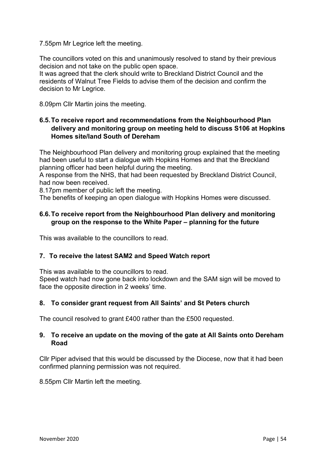#### 7.55pm Mr Legrice left the meeting.

The councillors voted on this and unanimously resolved to stand by their previous decision and not take on the public open space.

It was agreed that the clerk should write to Breckland District Council and the residents of Walnut Tree Fields to advise them of the decision and confirm the decision to Mr Legrice.

8.09pm Cllr Martin joins the meeting.

# **6.5.To receive report and recommendations from the Neighbourhood Plan delivery and monitoring group on meeting held to discuss S106 at Hopkins Homes site/land South of Dereham**

The Neighbourhood Plan delivery and monitoring group explained that the meeting had been useful to start a dialogue with Hopkins Homes and that the Breckland planning officer had been helpful during the meeting.

A response from the NHS, that had been requested by Breckland District Council, had now been received.

8.17pm member of public left the meeting.

The benefits of keeping an open dialogue with Hopkins Homes were discussed.

# **6.6.To receive report from the Neighbourhood Plan delivery and monitoring group on the response to the White Paper – planning for the future**

This was available to the councillors to read.

#### **7. To receive the latest SAM2 and Speed Watch report**

This was available to the councillors to read.

Speed watch had now gone back into lockdown and the SAM sign will be moved to face the opposite direction in 2 weeks' time.

#### **8. To consider grant request from All Saints' and St Peters church**

The council resolved to grant £400 rather than the £500 requested.

#### **9. To receive an update on the moving of the gate at All Saints onto Dereham Road**

Cllr Piper advised that this would be discussed by the Diocese, now that it had been confirmed planning permission was not required.

8.55pm Cllr Martin left the meeting.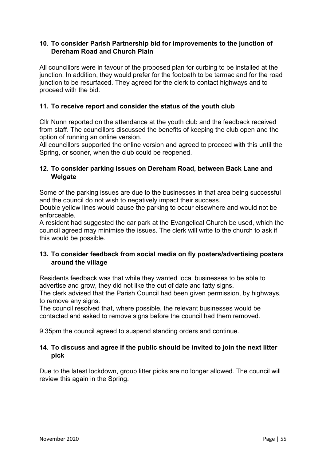# **10. To consider Parish Partnership bid for improvements to the junction of Dereham Road and Church Plain**

All councillors were in favour of the proposed plan for curbing to be installed at the junction. In addition, they would prefer for the footpath to be tarmac and for the road junction to be resurfaced. They agreed for the clerk to contact highways and to proceed with the bid.

# **11. To receive report and consider the status of the youth club**

Cllr Nunn reported on the attendance at the youth club and the feedback received from staff. The councillors discussed the benefits of keeping the club open and the option of running an online version.

All councillors supported the online version and agreed to proceed with this until the Spring, or sooner, when the club could be reopened.

# **12. To consider parking issues on Dereham Road, between Back Lane and Welgate**

Some of the parking issues are due to the businesses in that area being successful and the council do not wish to negatively impact their success.

Double yellow lines would cause the parking to occur elsewhere and would not be enforceable.

A resident had suggested the car park at the Evangelical Church be used, which the council agreed may minimise the issues. The clerk will write to the church to ask if this would be possible.

# **13. To consider feedback from social media on fly posters/advertising posters around the village**

Residents feedback was that while they wanted local businesses to be able to advertise and grow, they did not like the out of date and tatty signs.

The clerk advised that the Parish Council had been given permission, by highways, to remove any signs.

The council resolved that, where possible, the relevant businesses would be contacted and asked to remove signs before the council had them removed.

9.35pm the council agreed to suspend standing orders and continue.

# **14. To discuss and agree if the public should be invited to join the next litter pick**

Due to the latest lockdown, group litter picks are no longer allowed. The council will review this again in the Spring.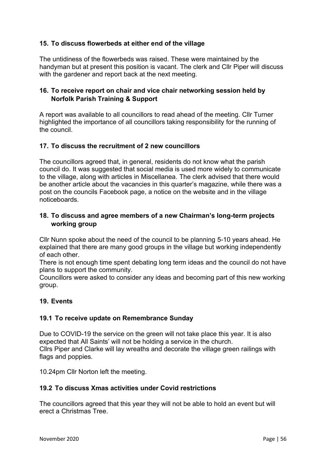# **15. To discuss flowerbeds at either end of the village**

The untidiness of the flowerbeds was raised. These were maintained by the handyman but at present this position is vacant. The clerk and Cllr Piper will discuss with the gardener and report back at the next meeting.

# **16. To receive report on chair and vice chair networking session held by Norfolk Parish Training & Support**

A report was available to all councillors to read ahead of the meeting. Cllr Turner highlighted the importance of all councillors taking responsibility for the running of the council.

#### **17. To discuss the recruitment of 2 new councillors**

The councillors agreed that, in general, residents do not know what the parish council do. It was suggested that social media is used more widely to communicate to the village, along with articles in Miscellanea. The clerk advised that there would be another article about the vacancies in this quarter's magazine, while there was a post on the councils Facebook page, a notice on the website and in the village noticeboards.

#### **18. To discuss and agree members of a new Chairman's long-term projects working group**

Cllr Nunn spoke about the need of the council to be planning 5-10 years ahead. He explained that there are many good groups in the village but working independently of each other.

There is not enough time spent debating long term ideas and the council do not have plans to support the community.

Councillors were asked to consider any ideas and becoming part of this new working group.

#### **19. Events**

#### **19.1 To receive update on Remembrance Sunday**

Due to COVID-19 the service on the green will not take place this year. It is also expected that All Saints' will not be holding a service in the church. Cllrs Piper and Clarke will lay wreaths and decorate the village green railings with flags and poppies.

10.24pm Cllr Norton left the meeting.

#### **19.2 To discuss Xmas activities under Covid restrictions**

The councillors agreed that this year they will not be able to hold an event but will erect a Christmas Tree.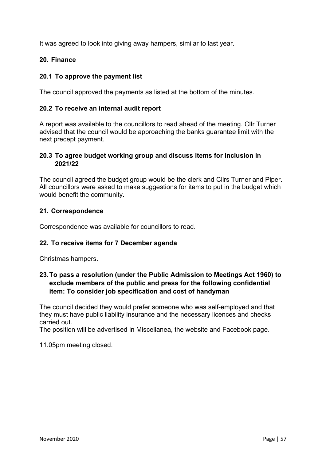It was agreed to look into giving away hampers, similar to last year.

# **20. Finance**

# **20.1 To approve the payment list**

The council approved the payments as listed at the bottom of the minutes.

#### **20.2 To receive an internal audit report**

A report was available to the councillors to read ahead of the meeting. Cllr Turner advised that the council would be approaching the banks guarantee limit with the next precept payment.

#### **20.3 To agree budget working group and discuss items for inclusion in 2021/22**

The council agreed the budget group would be the clerk and Cllrs Turner and Piper. All councillors were asked to make suggestions for items to put in the budget which would benefit the community.

#### **21. Correspondence**

Correspondence was available for councillors to read.

#### **22. To receive items for 7 December agenda**

Christmas hampers.

# **23.To pass a resolution (under the Public Admission to Meetings Act 1960) to exclude members of the public and press for the following confidential item: To consider job specification and cost of handyman**

The council decided they would prefer someone who was self-employed and that they must have public liability insurance and the necessary licences and checks carried out.

The position will be advertised in Miscellanea, the website and Facebook page.

11.05pm meeting closed.